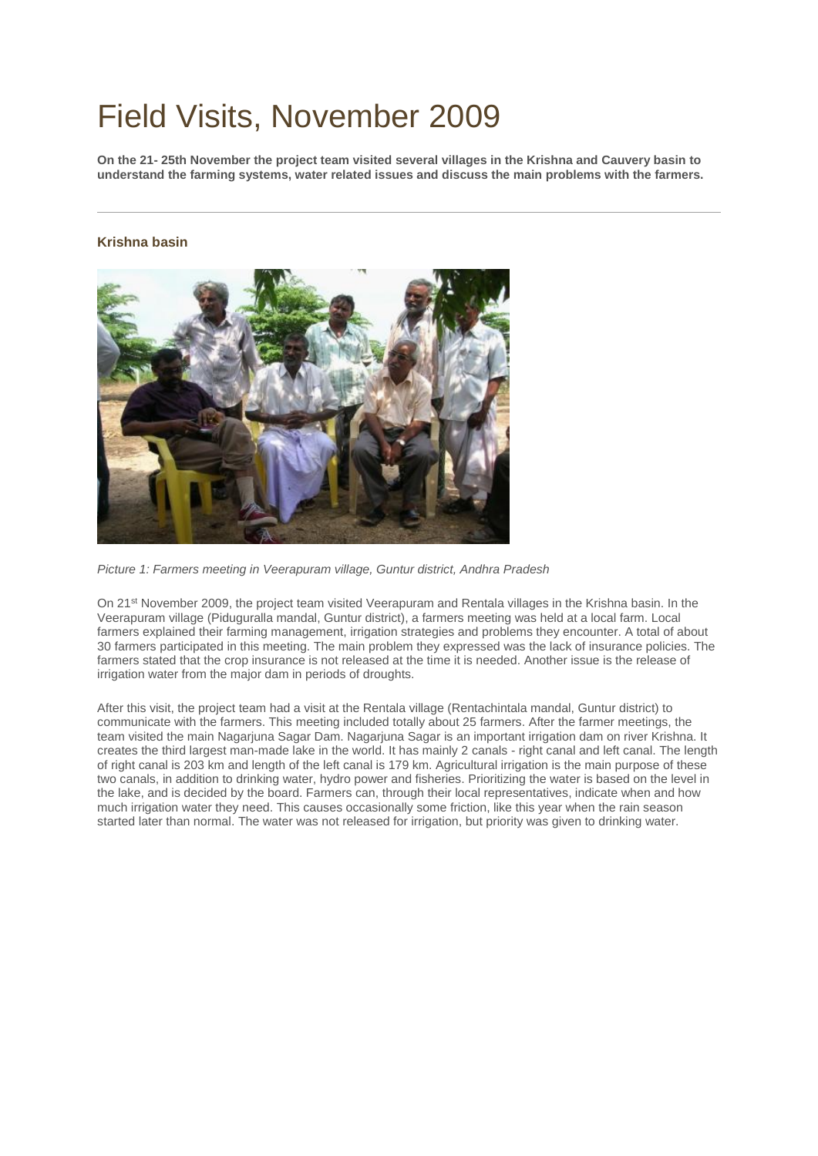## Field Visits, November 2009

**On the 21- 25th November the project team visited several villages in the Krishna and Cauvery basin to understand the farming systems, water related issues and discuss the main problems with the farmers.**

## **Krishna basin**



*Picture 1: Farmers meeting in Veerapuram village, Guntur district, Andhra Pradesh*

On 21st November 2009, the project team visited Veerapuram and Rentala villages in the Krishna basin. In the Veerapuram village (Piduguralla mandal, Guntur district), a farmers meeting was held at a local farm. Local farmers explained their farming management, irrigation strategies and problems they encounter. A total of about 30 farmers participated in this meeting. The main problem they expressed was the lack of insurance policies. The farmers stated that the crop insurance is not released at the time it is needed. Another issue is the release of irrigation water from the major dam in periods of droughts.

After this visit, the project team had a visit at the Rentala village (Rentachintala mandal, Guntur district) to communicate with the farmers. This meeting included totally about 25 farmers. After the farmer meetings, the team visited the main Nagarjuna Sagar Dam. Nagarjuna Sagar is an important irrigation dam on river Krishna. It creates the third largest man-made lake in the world. It has mainly 2 canals - right canal and left canal. The length of right canal is 203 km and length of the left canal is 179 km. Agricultural irrigation is the main purpose of these two canals, in addition to drinking water, hydro power and fisheries. Prioritizing the water is based on the level in the lake, and is decided by the board. Farmers can, through their local representatives, indicate when and how much irrigation water they need. This causes occasionally some friction, like this year when the rain season started later than normal. The water was not released for irrigation, but priority was given to drinking water.